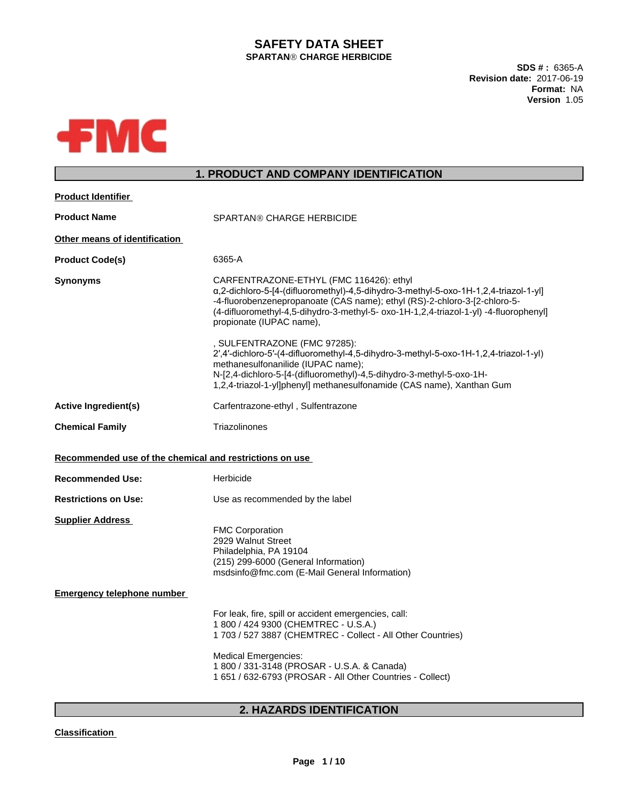# **SAFETY DATA SHEET SPARTANÒ CHARGE HERBICIDE**

**SDS # :** 6365-A **Revision date:** 2017-06-19 **Format:** NA **Version** 1.05



# **1. PRODUCT AND COMPANY IDENTIFICATION**

| <b>Product Identifier</b>                               |                                                                                                                                                                                                                                                                                                                                   |  |  |  |
|---------------------------------------------------------|-----------------------------------------------------------------------------------------------------------------------------------------------------------------------------------------------------------------------------------------------------------------------------------------------------------------------------------|--|--|--|
| <b>Product Name</b>                                     | <b>SPARTAN® CHARGE HERBICIDE</b>                                                                                                                                                                                                                                                                                                  |  |  |  |
| Other means of identification                           |                                                                                                                                                                                                                                                                                                                                   |  |  |  |
| <b>Product Code(s)</b>                                  | 6365-A                                                                                                                                                                                                                                                                                                                            |  |  |  |
| <b>Synonyms</b>                                         | CARFENTRAZONE-ETHYL (FMC 116426): ethyl<br>a,2-dichloro-5-[4-(difluoromethyl)-4,5-dihydro-3-methyl-5-oxo-1H-1,2,4-triazol-1-yl]<br>-4-fluorobenzenepropanoate (CAS name); ethyl (RS)-2-chloro-3-[2-chloro-5-<br>(4-difluoromethyl-4,5-dihydro-3-methyl-5- oxo-1H-1,2,4-triazol-1-yl) -4-fluorophenyl]<br>propionate (IUPAC name), |  |  |  |
|                                                         | , SULFENTRAZONE (FMC 97285):<br>2',4'-dichloro-5'-(4-difluoromethyl-4,5-dihydro-3-methyl-5-oxo-1H-1,2,4-triazol-1-yl)<br>methanesulfonanilide (IUPAC name);<br>N-[2,4-dichloro-5-[4-(difluoromethyl)-4,5-dihydro-3-methyl-5-oxo-1H-<br>1,2,4-triazol-1-yl]phenyl] methanesulfonamide (CAS name), Xanthan Gum                      |  |  |  |
| <b>Active Ingredient(s)</b>                             | Carfentrazone-ethyl, Sulfentrazone                                                                                                                                                                                                                                                                                                |  |  |  |
| <b>Chemical Family</b>                                  | Triazolinones                                                                                                                                                                                                                                                                                                                     |  |  |  |
| Recommended use of the chemical and restrictions on use |                                                                                                                                                                                                                                                                                                                                   |  |  |  |
| <b>Recommended Use:</b>                                 | Herbicide                                                                                                                                                                                                                                                                                                                         |  |  |  |
| <b>Restrictions on Use:</b>                             | Use as recommended by the label                                                                                                                                                                                                                                                                                                   |  |  |  |
| <b>Supplier Address</b>                                 | <b>FMC Corporation</b><br>2929 Walnut Street<br>Philadelphia, PA 19104<br>(215) 299-6000 (General Information)<br>msdsinfo@fmc.com (E-Mail General Information)                                                                                                                                                                   |  |  |  |
| <b>Emergency telephone number</b>                       |                                                                                                                                                                                                                                                                                                                                   |  |  |  |
|                                                         | For leak, fire, spill or accident emergencies, call:<br>1 800 / 424 9300 (CHEMTREC - U.S.A.)<br>1 703 / 527 3887 (CHEMTREC - Collect - All Other Countries)                                                                                                                                                                       |  |  |  |
|                                                         | <b>Medical Emergencies:</b><br>1 800 / 331-3148 (PROSAR - U.S.A. & Canada)<br>1 651 / 632-6793 (PROSAR - All Other Countries - Collect)                                                                                                                                                                                           |  |  |  |
|                                                         |                                                                                                                                                                                                                                                                                                                                   |  |  |  |

# **2. HAZARDS IDENTIFICATION**

#### **Classification**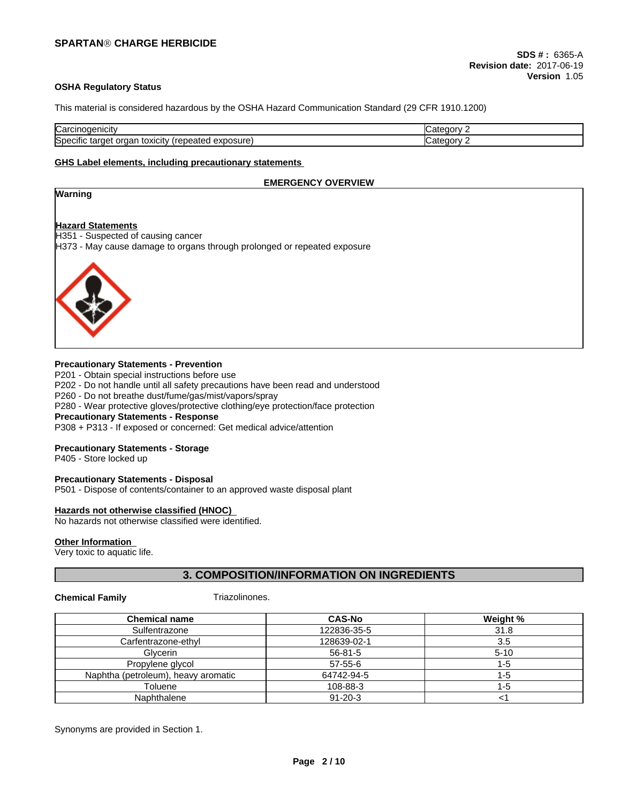#### **OSHA Regulatory Status**

This material is considered hazardous by the OSHA Hazard Communication Standard (29 CFR 1910.1200)

| Carcinogenicity                                                                                          | ategory<br>- 30 F |
|----------------------------------------------------------------------------------------------------------|-------------------|
| $\cdot$<br>.<br>$\sim$ n $\sim$<br>exposure)<br>target<br>Specific<br>repeated<br>toxicity<br>Οľ<br>'uar | ategory<br>- 10 F |

#### **GHS Label elements, including precautionary statements**

# **EMERGENCY OVERVIEW Warning Hazard Statements** H351 - Suspected of causing cancer H373 - May cause damage to organs through prolonged or repeated exposure

#### **Precautionary Statements - Prevention**

P201 - Obtain special instructions before use P202 - Do not handle until all safety precautions have been read and understood P260 - Do not breathe dust/fume/gas/mist/vapors/spray P280 - Wear protective gloves/protective clothing/eye protection/face protection

### **Precautionary Statements - Response**

P308 + P313 - If exposed or concerned: Get medical advice/attention

#### **Precautionary Statements - Storage**

P405 - Store locked up

#### **Precautionary Statements - Disposal**

P501 - Dispose of contents/container to an approved waste disposal plant

#### **Hazards not otherwise classified (HNOC)**

No hazards not otherwise classified were identified.

#### **Other Information**

Very toxic to aquatic life.

# **3. COMPOSITION/INFORMATION ON INGREDIENTS**

**Chemical Family** Triazolinones.

| <b>Chemical name</b>                | <b>CAS-No</b> | Weight % |
|-------------------------------------|---------------|----------|
| Sulfentrazone                       | 122836-35-5   | 31.8     |
| Carfentrazone-ethyl                 | 128639-02-1   | 3.5      |
| Glycerin                            | $56 - 81 - 5$ | $5 - 10$ |
| Propylene glycol                    | 57-55-6       | -0       |
| Naphtha (petroleum), heavy aromatic | 64742-94-5    | l -5     |
| Toluene                             | 108-88-3      | -5       |
| Naphthalene                         | $91 - 20 - 3$ |          |

Synonyms are provided in Section 1.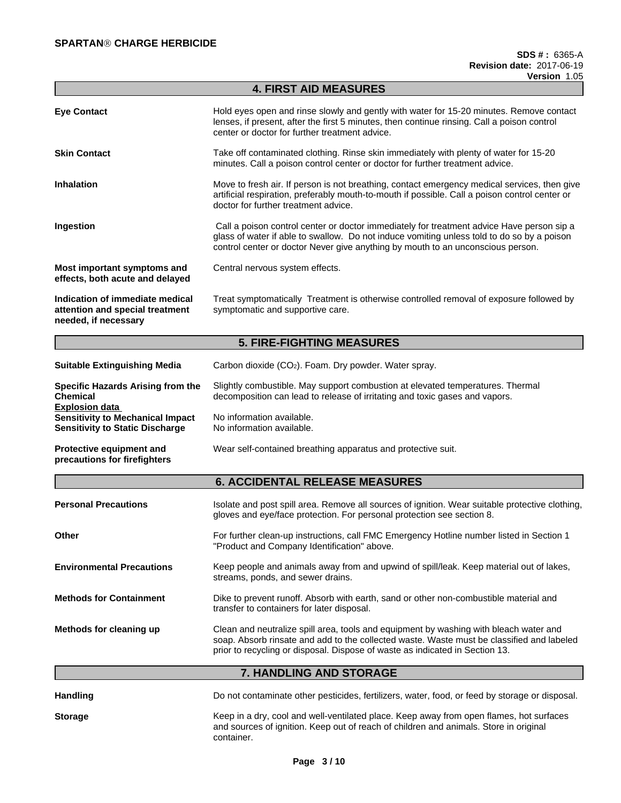|                                                                                                            | <b>4. FIRST AID MEASURES</b>                                                                                                                                                                                                                                               |  |  |  |
|------------------------------------------------------------------------------------------------------------|----------------------------------------------------------------------------------------------------------------------------------------------------------------------------------------------------------------------------------------------------------------------------|--|--|--|
| <b>Eye Contact</b>                                                                                         | Hold eyes open and rinse slowly and gently with water for 15-20 minutes. Remove contact<br>lenses, if present, after the first 5 minutes, then continue rinsing. Call a poison control<br>center or doctor for further treatment advice.                                   |  |  |  |
| <b>Skin Contact</b>                                                                                        | Take off contaminated clothing. Rinse skin immediately with plenty of water for 15-20<br>minutes. Call a poison control center or doctor for further treatment advice.                                                                                                     |  |  |  |
| <b>Inhalation</b>                                                                                          | Move to fresh air. If person is not breathing, contact emergency medical services, then give<br>artificial respiration, preferably mouth-to-mouth if possible. Call a poison control center or<br>doctor for further treatment advice.                                     |  |  |  |
| Ingestion                                                                                                  | Call a poison control center or doctor immediately for treatment advice Have person sip a<br>glass of water if able to swallow. Do not induce vomiting unless told to do so by a poison<br>control center or doctor Never give anything by mouth to an unconscious person. |  |  |  |
| Most important symptoms and<br>effects, both acute and delayed                                             | Central nervous system effects.                                                                                                                                                                                                                                            |  |  |  |
| Indication of immediate medical<br>attention and special treatment<br>needed, if necessary                 | Treat symptomatically Treatment is otherwise controlled removal of exposure followed by<br>symptomatic and supportive care.                                                                                                                                                |  |  |  |
|                                                                                                            | <b>5. FIRE-FIGHTING MEASURES</b>                                                                                                                                                                                                                                           |  |  |  |
| <b>Suitable Extinguishing Media</b>                                                                        | Carbon dioxide (CO <sub>2</sub> ). Foam. Dry powder. Water spray.                                                                                                                                                                                                          |  |  |  |
| Specific Hazards Arising from the<br><b>Chemical</b>                                                       | Slightly combustible. May support combustion at elevated temperatures. Thermal<br>decomposition can lead to release of irritating and toxic gases and vapors.                                                                                                              |  |  |  |
| <b>Explosion data</b><br><b>Sensitivity to Mechanical Impact</b><br><b>Sensitivity to Static Discharge</b> | No information available.<br>No information available.                                                                                                                                                                                                                     |  |  |  |
| Protective equipment and<br>precautions for firefighters                                                   | Wear self-contained breathing apparatus and protective suit.                                                                                                                                                                                                               |  |  |  |
|                                                                                                            | <b>6. ACCIDENTAL RELEASE MEASURES</b>                                                                                                                                                                                                                                      |  |  |  |
| <b>Personal Precautions</b>                                                                                | Isolate and post spill area. Remove all sources of ignition. Wear suitable protective clothing,<br>gloves and eye/face protection. For personal protection see section 8.                                                                                                  |  |  |  |

# **7. HANDLING AND STORAGE**

soap. Absorb rinsate and add to the collected waste. Waste must be classified and labeled

prior to recycling or disposal. Dispose of waste as indicated in Section 13.

**Other Example 20 For further clean-up instructions, call FMC Emergency Hotline number listed in Section 1** "Product and Company Identification" above.

**Environmental Precautions** Keep people and animals away from and upwind of spill/leak. Keep material out of lakes,

**Methods for Containment** Dike to prevent runoff. Absorb with earth, sand or other non-combustible material and transfer to containers for later disposal.

**Methods for cleaning up** Clean and neutralize spill area, tools and equipment by washing with bleach water and

streams, ponds, and sewer drains.

| <b>Handling</b> | Do not contaminate other pesticides, fertilizers, water, food, or feed by storage or disposal.                                                                                                 |
|-----------------|------------------------------------------------------------------------------------------------------------------------------------------------------------------------------------------------|
| <b>Storage</b>  | Keep in a dry, cool and well-ventilated place. Keep away from open flames, hot surfaces<br>and sources of ignition. Keep out of reach of children and animals. Store in original<br>container. |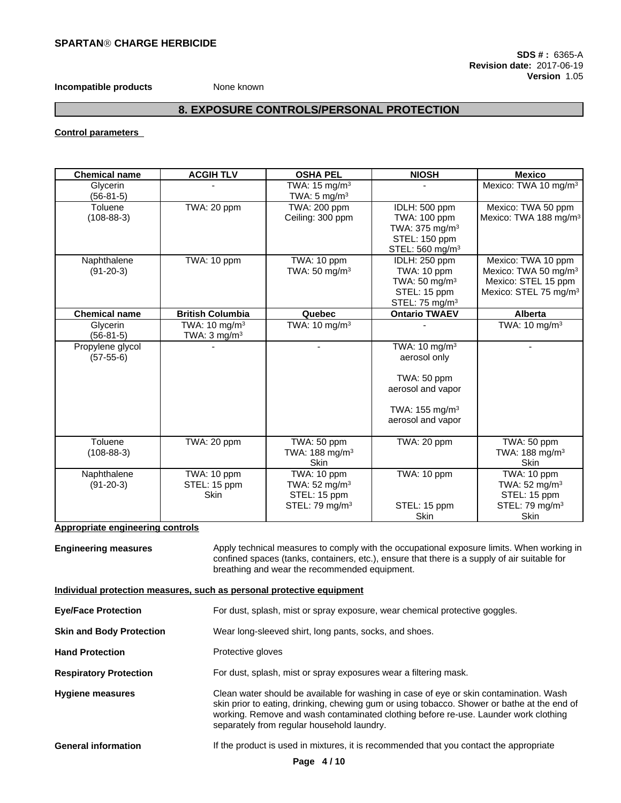### **Incompatible products** None known

# **8. EXPOSURE CONTROLS/PERSONAL PROTECTION**

**Control parameters**

| <b>Chemical name</b> | <b>ACGIH TLV</b>         | <b>OSHA PEL</b>            | <b>NIOSH</b>                | <b>Mexico</b>                     |
|----------------------|--------------------------|----------------------------|-----------------------------|-----------------------------------|
| Glycerin             |                          | TWA: 15 mg/m <sup>3</sup>  |                             | Mexico: TWA 10 mg/m <sup>3</sup>  |
| $(56-81-5)$          |                          | TWA: $5 \text{ mg/m}^3$    |                             |                                   |
| Toluene              | TWA: 20 ppm              | TWA: 200 ppm               | IDLH: 500 ppm               | Mexico: TWA 50 ppm                |
| $(108-88-3)$         |                          | Ceiling: 300 ppm           | TWA: 100 ppm                | Mexico: TWA 188 mg/m <sup>3</sup> |
|                      |                          |                            | TWA: $375 \text{ mg/m}^3$   |                                   |
|                      |                          |                            | STEL: 150 ppm               |                                   |
|                      |                          |                            | STEL: 560 mg/m <sup>3</sup> |                                   |
| Naphthalene          | TWA: 10 ppm              | TWA: 10 ppm                | IDLH: 250 ppm               | Mexico: TWA 10 ppm                |
| $(91-20-3)$          |                          | TWA: $50 \text{ mg/m}^3$   | TWA: 10 ppm                 | Mexico: TWA 50 mg/m <sup>3</sup>  |
|                      |                          |                            | TWA: $50 \text{ mg/m}^3$    | Mexico: STEL 15 ppm               |
|                      |                          |                            | STEL: 15 ppm                | Mexico: STEL 75 mg/m <sup>3</sup> |
|                      |                          |                            | STEL: 75 mg/m <sup>3</sup>  |                                   |
| <b>Chemical name</b> | <b>British Columbia</b>  | Quebec                     | <b>Ontario TWAEV</b>        | Alberta                           |
| Glycerin             | TWA: $10 \text{ mg/m}^3$ | TWA: $10 \text{ mg/m}^3$   |                             | TWA: $10 \text{ mg/m}^3$          |
| $(56-81-5)$          | TWA: $3 \text{ mg/m}^3$  |                            |                             |                                   |
| Propylene glycol     |                          |                            | TWA: 10 mg/m <sup>3</sup>   |                                   |
| $(57-55-6)$          |                          |                            | aerosol only                |                                   |
|                      |                          |                            |                             |                                   |
|                      |                          |                            | TWA: 50 ppm                 |                                   |
|                      |                          |                            | aerosol and vapor           |                                   |
|                      |                          |                            |                             |                                   |
|                      |                          |                            | TWA: $155 \text{ mg/m}^3$   |                                   |
|                      |                          |                            | aerosol and vapor           |                                   |
|                      |                          |                            |                             |                                   |
| Toluene              | TWA: 20 ppm              | TWA: 50 ppm                | TWA: 20 ppm                 | $\overline{\text{TWA}}$ : 50 ppm  |
| $(108-88-3)$         |                          | TWA: 188 mg/m <sup>3</sup> |                             | TWA: 188 mg/m <sup>3</sup>        |
|                      |                          | <b>Skin</b>                |                             | <b>Skin</b>                       |
| Naphthalene          | TWA: 10 ppm              | TWA: 10 ppm                | TWA: 10 ppm                 | TWA: 10 ppm                       |
| $(91-20-3)$          | STEL: 15 ppm             | TWA: $52 \text{ mg/m}^3$   |                             | TWA: 52 mg/m <sup>3</sup>         |
|                      | <b>Skin</b>              | STEL: 15 ppm               |                             | STEL: 15 ppm                      |
|                      |                          | STEL: 79 mg/m <sup>3</sup> | STEL: 15 ppm                | STEL: 79 mg/m <sup>3</sup>        |
|                      |                          |                            | Skin                        | Skin                              |

#### **Appropriate engineering controls**

**Engineering measures** Apply technical measures to comply with the occupational exposure limits. When working in confined spaces (tanks, containers, etc.), ensure that there is a supply of air suitable for breathing and wear the recommended equipment.

#### **Individual protection measures, such as personal protective equipment**

| <b>Eye/Face Protection</b>      | For dust, splash, mist or spray exposure, wear chemical protective goggles.                                                                                                                                                                                                                                                |  |  |
|---------------------------------|----------------------------------------------------------------------------------------------------------------------------------------------------------------------------------------------------------------------------------------------------------------------------------------------------------------------------|--|--|
| <b>Skin and Body Protection</b> | Wear long-sleeved shirt, long pants, socks, and shoes.                                                                                                                                                                                                                                                                     |  |  |
| <b>Hand Protection</b>          | Protective gloves                                                                                                                                                                                                                                                                                                          |  |  |
| <b>Respiratory Protection</b>   | For dust, splash, mist or spray exposures wear a filtering mask.                                                                                                                                                                                                                                                           |  |  |
| <b>Hygiene measures</b>         | Clean water should be available for washing in case of eye or skin contamination. Wash<br>skin prior to eating, drinking, chewing gum or using tobacco. Shower or bathe at the end of<br>working. Remove and wash contaminated clothing before re-use. Launder work clothing<br>separately from regular household laundry. |  |  |
| <b>General information</b>      | If the product is used in mixtures, it is recommended that you contact the appropriate                                                                                                                                                                                                                                     |  |  |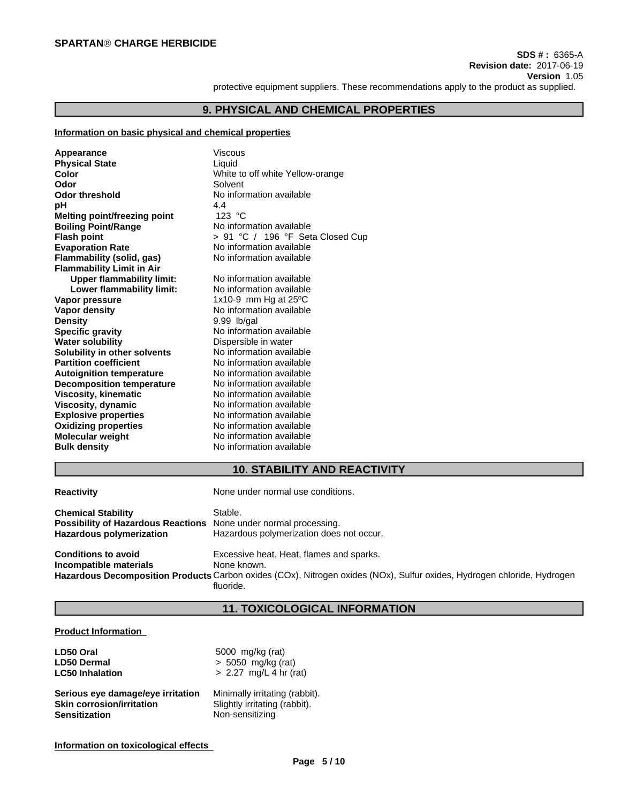protective equipment suppliers. These recommendations apply to the product as supplied.

#### **9. PHYSICAL AND CHEMICAL PROPERTIES**

#### **Information on basic physical and chemical properties**

| Appearance                          | Viscous                          |
|-------------------------------------|----------------------------------|
| <b>Physical State</b>               | Liquid                           |
| Color                               | White to off white Yellow-orange |
| Odor                                | Solvent                          |
| <b>Odor threshold</b>               | No information available         |
| рH                                  | 4.4                              |
| <b>Melting point/freezing point</b> | 123 $^{\circ}$ C                 |
| <b>Boiling Point/Range</b>          | No information available         |
| <b>Flash point</b>                  | > 91 °C / 196 °F Seta Closed Cup |
| <b>Evaporation Rate</b>             | No information available         |
| <b>Flammability (solid, gas)</b>    | No information available         |
| <b>Flammability Limit in Air</b>    |                                  |
| <b>Upper flammability limit:</b>    | No information available         |
| Lower flammability limit:           | No information available         |
| Vapor pressure                      | 1x10-9 mm Hg at $25^{\circ}$ C   |
| <b>Vapor density</b>                | No information available         |
| <b>Density</b>                      | 9.99 lb/gal                      |
| <b>Specific gravity</b>             | No information available         |
| <b>Water solubility</b>             | Dispersible in water             |
| Solubility in other solvents        | No information available         |
| <b>Partition coefficient</b>        | No information available         |
| <b>Autoignition temperature</b>     | No information available         |
| <b>Decomposition temperature</b>    | No information available         |
| <b>Viscosity, kinematic</b>         | No information available         |
| <b>Viscosity, dynamic</b>           | No information available         |
| <b>Explosive properties</b>         | No information available         |
| <b>Oxidizing properties</b>         | No information available         |
| <b>Molecular weight</b>             | No information available         |
| <b>Bulk density</b>                 | No information available         |

#### **10. STABILITY AND REACTIVITY**

| <b>Reactivity</b>                                                                                                                       | None under normal use conditions.                   |
|-----------------------------------------------------------------------------------------------------------------------------------------|-----------------------------------------------------|
| <b>Chemical Stability</b><br><b>Possibility of Hazardous Reactions</b> None under normal processing.<br><b>Hazardous polymerization</b> | Stable.<br>Hazardous polymerization does not occur. |
| <b>Conditions to avoid</b>                                                                                                              | Excessive heat. Heat, flames and sparks.            |

**Incompatible materials** None known. **Hazardous Decomposition Products** Carbon oxides (COx), Nitrogen oxides (NOx), Sulfur oxides, Hydrogen chloride, Hydrogen fluoride.

# **11. TOXICOLOGICAL INFORMATION**

#### **Product Information**

| LD50 Oral                         | 5000 mg/kg (rat)               |
|-----------------------------------|--------------------------------|
| <b>LD50 Dermal</b>                | $> 5050$ mg/kg (rat)           |
| <b>LC50 Inhalation</b>            | $> 2.27$ mg/L 4 hr (rat)       |
| Serious eye damage/eye irritation | Minimally irritating (rabbit). |
| <b>Skin corrosion/irritation</b>  | Slightly irritating (rabbit).  |
| <b>Sensitization</b>              | Non-sensitizing                |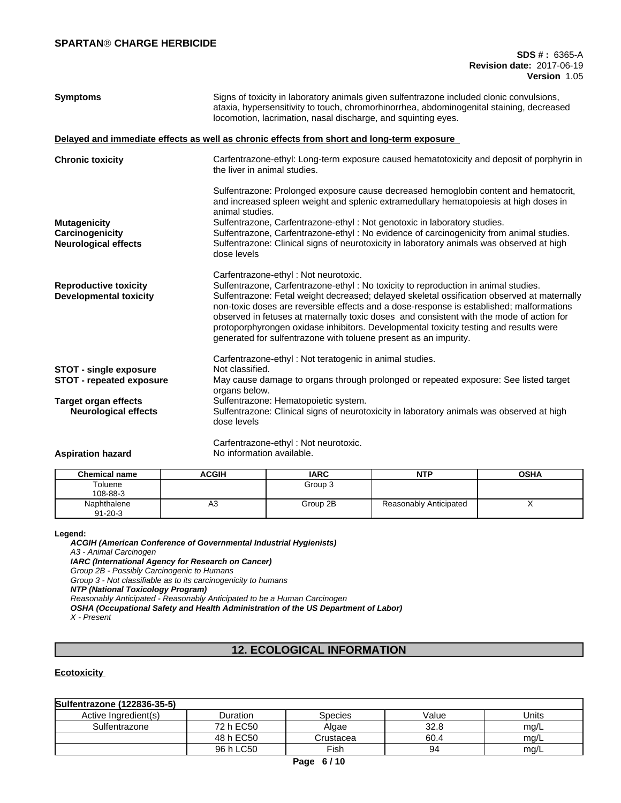#### **SPARTANÒ CHARGE HERBICIDE**

| <b>Symptoms</b>                                                       | Signs of toxicity in laboratory animals given sulfentrazone included clonic convulsions,<br>ataxia, hypersensitivity to touch, chromorhinorrhea, abdominogenital staining, decreased<br>locomotion, lacrimation, nasal discharge, and squinting eyes.                                                                                                                                                                                                                                                                                                                          |  |  |
|-----------------------------------------------------------------------|--------------------------------------------------------------------------------------------------------------------------------------------------------------------------------------------------------------------------------------------------------------------------------------------------------------------------------------------------------------------------------------------------------------------------------------------------------------------------------------------------------------------------------------------------------------------------------|--|--|
|                                                                       | Delayed and immediate effects as well as chronic effects from short and long-term exposure                                                                                                                                                                                                                                                                                                                                                                                                                                                                                     |  |  |
| <b>Chronic toxicity</b>                                               | Carfentrazone-ethyl: Long-term exposure caused hematotoxicity and deposit of porphyrin in<br>the liver in animal studies.                                                                                                                                                                                                                                                                                                                                                                                                                                                      |  |  |
|                                                                       | Sulfentrazone: Prolonged exposure cause decreased hemoglobin content and hematocrit,<br>and increased spleen weight and splenic extramedullary hematopoiesis at high doses in<br>animal studies.                                                                                                                                                                                                                                                                                                                                                                               |  |  |
| <b>Mutagenicity</b><br>Carcinogenicity<br><b>Neurological effects</b> | Sulfentrazone, Carfentrazone-ethyl: Not genotoxic in laboratory studies.<br>Sulfentrazone, Carfentrazone-ethyl: No evidence of carcinogenicity from animal studies.<br>Sulfentrazone: Clinical signs of neurotoxicity in laboratory animals was observed at high<br>dose levels                                                                                                                                                                                                                                                                                                |  |  |
| <b>Reproductive toxicity</b><br><b>Developmental toxicity</b>         | Carfentrazone-ethyl: Not neurotoxic.<br>Sulfentrazone, Carfentrazone-ethyl: No toxicity to reproduction in animal studies.<br>Sulfentrazone: Fetal weight decreased; delayed skeletal ossification observed at maternally<br>non-toxic doses are reversible effects and a dose-response is established; malformations<br>observed in fetuses at maternally toxic doses and consistent with the mode of action for<br>protoporphyrongen oxidase inhibitors. Developmental toxicity testing and results were<br>generated for sulfentrazone with toluene present as an impurity. |  |  |
| <b>STOT - single exposure</b><br><b>STOT - repeated exposure</b>      | Carfentrazone-ethyl: Not teratogenic in animal studies.<br>Not classified.<br>May cause damage to organs through prolonged or repeated exposure: See listed target<br>organs below.                                                                                                                                                                                                                                                                                                                                                                                            |  |  |
| <b>Target organ effects</b><br><b>Neurological effects</b>            | Sulfentrazone: Hematopoietic system.<br>Sulfentrazone: Clinical signs of neurotoxicity in laboratory animals was observed at high<br>dose levels                                                                                                                                                                                                                                                                                                                                                                                                                               |  |  |
| A was been the contractor and                                         | Carfentrazone-ethyl: Not neurotoxic.<br>Miland in the second and a second that the latter of                                                                                                                                                                                                                                                                                                                                                                                                                                                                                   |  |  |

|  | <b>Aspiration hazard</b> |
|--|--------------------------|
|  |                          |

**Aspiration hazard** No information available.

| <b>Chemical name</b>         | <b>ACGIH</b> | <b>IARC</b> | <b>NTP</b>             | <b>OSHA</b> |
|------------------------------|--------------|-------------|------------------------|-------------|
| Toluene<br>108-88-3          |              | Group 3     |                        |             |
| Naphthalene<br>$91 - 20 - 3$ | A3           | Group 2B    | Reasonably Anticipated | $\lambda$   |

#### **Legend:**

*ACGIH (American Conference of Governmental Industrial Hygienists) A3 - Animal Carcinogen IARC (International Agency for Research on Cancer) Group 2B - Possibly Carcinogenic to Humans Group 3 - Not classifiable as to its carcinogenicity to humans NTP (National Toxicology Program) Reasonably Anticipated - Reasonably Anticipated to be a Human Carcinogen OSHA (Occupational Safety and Health Administration of the US Department of Labor) X - Present*

# **12. ECOLOGICAL INFORMATION**

#### **Ecotoxicity**

| Sulfentrazone (122836-35-5) |           |                |       |       |
|-----------------------------|-----------|----------------|-------|-------|
| Active Ingredient(s)        | Duration  | <b>Species</b> | Value | Units |
| Sulfentrazone               | 72 h EC50 | Algae          | 32.8  | mg/L  |
|                             | 48 h EC50 | Crustacea      | 60.4  | mg/L  |
|                             | 96 h LC50 | Fish           | 94    | mg/L  |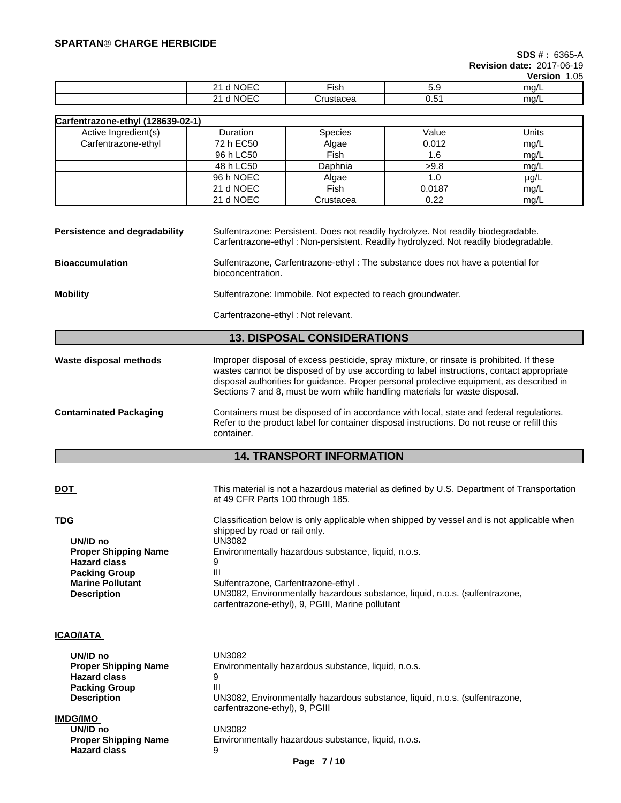#### **SPARTANÒ CHARGE HERBICIDE**

# **SDS # :** 6365-A

**Revision date:** 2017-06-19 **Version** 1.05

|                                        |                   |          | <b>VEISIUII</b><br>1.UJ |
|----------------------------------------|-------------------|----------|-------------------------|
| $\cdots$<br>NK.<br>ъ.<br>⊣נ<br>.<br>-  | $- \cdot$<br>-ish | ◡.◡      | ma/L                    |
| $\cdot$ . $ -$<br>ົ<br>NG.<br>OFC<br>- | :rustacea         | -<br>∪.∪ | ma/L                    |

| Carfentrazone-ethyl (128639-02-1) |                 |                |        |           |  |
|-----------------------------------|-----------------|----------------|--------|-----------|--|
| Active Ingredient(s)              | <b>Duration</b> | <b>Species</b> | Value  | Units     |  |
| Carfentrazone-ethyl               | 72 h EC50       | Algae          | 0.012  | mg/L      |  |
|                                   | 96 h LC50       | Fish           | 1.6    | mg/L      |  |
|                                   | 48 h LC50       | Daphnia        | >9.8   | mg/L      |  |
|                                   | 96 h NOEC       | Algae          | 1.0    | $\mu$ g/L |  |
|                                   | 21 d NOEC       | Fish           | 0.0187 | mg/L      |  |
|                                   | 21 d NOEC       | Crustacea      | 0.22   | mg/L      |  |

| Persistence and degradability | Sulfentrazone: Persistent. Does not readily hydrolyze. Not readily biodegradable.<br>Carfentrazone-ethyl: Non-persistent. Readily hydrolyzed. Not readily biodegradable. |
|-------------------------------|--------------------------------------------------------------------------------------------------------------------------------------------------------------------------|
| <b>Bioaccumulation</b>        | Sulfentrazone, Carfentrazone-ethyl: The substance does not have a potential for<br>bioconcentration.                                                                     |

**Mobility Sulfentrazone: Immobile. Not expected to reach groundwater.** 

Carfentrazone-ethyl : Not relevant.

### **13. DISPOSAL CONSIDERATIONS**

**Waste disposal methods** Improper disposal of excess pesticide, spray mixture, or rinsate is prohibited. If these wastes cannot be disposed of by use according to label instructions, contact appropriate disposal authorities for guidance. Proper personal protective equipment, as described in Sections 7 and 8, must be worn while handling materials for waste disposal.

**Contaminated Packaging** Containers must be disposed of in accordance with local, state and federal regulations. Refer to the product label for container disposal instructions. Do not reuse or refill this container.

## **14. TRANSPORT INFORMATION**

| <b>DOT</b>                  | This material is not a hazardous material as defined by U.S. Department of Transportation<br>at 49 CFR Parts 100 through 185.   |
|-----------------------------|---------------------------------------------------------------------------------------------------------------------------------|
| <b>TDG</b>                  | Classification below is only applicable when shipped by vessel and is not applicable when<br>shipped by road or rail only.      |
| UN/ID no                    | UN3082                                                                                                                          |
| <b>Proper Shipping Name</b> | Environmentally hazardous substance, liquid, n.o.s.                                                                             |
| <b>Hazard class</b>         |                                                                                                                                 |
| <b>Packing Group</b>        | Ш                                                                                                                               |
| <b>Marine Pollutant</b>     | Sulfentrazone, Carfentrazone-ethyl.                                                                                             |
| <b>Description</b>          | UN3082, Environmentally hazardous substance, liquid, n.o.s. (sulfentrazone,<br>carfentrazone-ethyl), 9, PGIII, Marine pollutant |
|                             |                                                                                                                                 |

# **ICAO/IATA**

| UN/ID no                    | UN3082                                                                                                        |
|-----------------------------|---------------------------------------------------------------------------------------------------------------|
| <b>Proper Shipping Name</b> | Environmentally hazardous substance, liquid, n.o.s.                                                           |
| <b>Hazard class</b>         | 9                                                                                                             |
| <b>Packing Group</b>        | Ш                                                                                                             |
| <b>Description</b>          | UN3082, Environmentally hazardous substance, liquid, n.o.s. (sulfentrazone,<br>carfentrazone-ethyl), 9, PGIII |
| <b>IMDG/IMO</b>             |                                                                                                               |
| UN/ID no                    | UN3082                                                                                                        |
| <b>Proper Shipping Name</b> | Environmentally hazardous substance, liquid, n.o.s.                                                           |
| <b>Hazard class</b>         | 9                                                                                                             |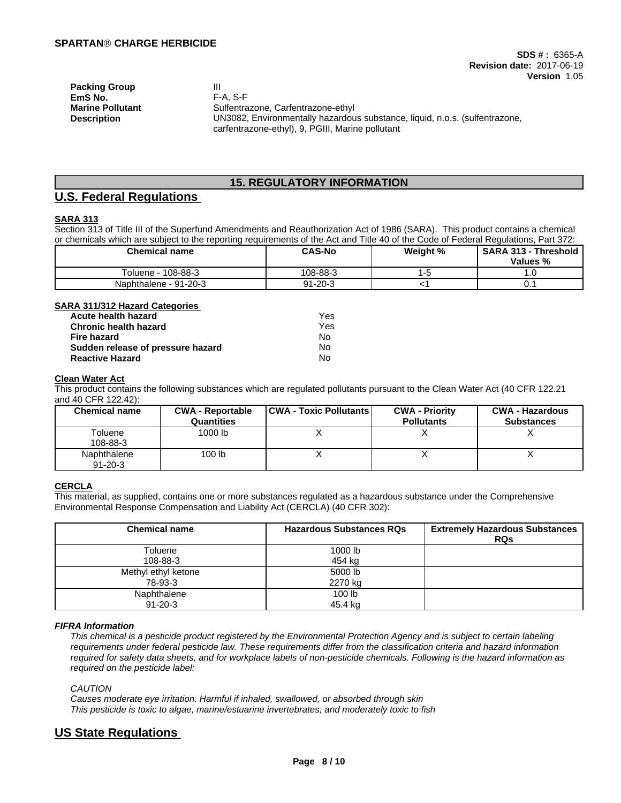**Packing Group III EmS No.** F-A, S-F

**Marine Pollutant** Sulfentrazone, Carfentrazone-ethyl **Description** UN3082, Environmentally hazardous substance, liquid, n.o.s. (sulfentrazone, carfentrazone-ethyl), 9, PGIII, Marine pollutant

# **15. REGULATORY INFORMATION**

# **U.S. Federal Regulations**

#### **SARA 313**

Section 313 of Title III of the Superfund Amendments and Reauthorization Act of 1986 (SARA). This product contains a chemical or chemicals which are subject to the reporting requirements of the Act and Title 40 of the Code of Federal Regulations, Part 372:

| <b>Chemical name</b>  | <b>CAS-No</b> | Weight % | <b>SARA 313 -</b><br><b>Threshold</b><br>Values % |
|-----------------------|---------------|----------|---------------------------------------------------|
| 108-88-3<br>Toluene · | 108-88-3      |          | . ب                                               |
| Naphthalene - 91-20-3 | 91-20-3       |          | v.,                                               |

#### **SARA 311/312 Hazard Categories**

| Acute health hazard               | Yes |
|-----------------------------------|-----|
| <b>Chronic health hazard</b>      | Yes |
| Fire hazard                       | No. |
| Sudden release of pressure hazard | No  |
| <b>Reactive Hazard</b>            | No  |

#### **Clean Water Act**

This product contains the following substances which are regulated pollutants pursuant to the Clean Water Act (40 CFR 122.21 and 40 CFR 122.42):

| <b>Chemical name</b>         | <b>CWA - Reportable</b><br>Quantities | <b>CWA - Toxic Pollutants</b> | <b>CWA - Priority</b><br><b>Pollutants</b> | <b>CWA - Hazardous</b><br><b>Substances</b> |
|------------------------------|---------------------------------------|-------------------------------|--------------------------------------------|---------------------------------------------|
| Toluene<br>108-88-3          | 1000 lb                               | ,,                            |                                            |                                             |
| Naphthalene<br>$91 - 20 - 3$ | 100 lb                                |                               |                                            |                                             |

#### **CERCLA**

This material, as supplied, contains one or more substances regulated as a hazardous substance under the Comprehensive Environmental Response Compensation and Liability Act (CERCLA) (40 CFR 302):

| <b>Chemical name</b> | <b>Hazardous Substances RQs</b> | <b>Extremely Hazardous Substances</b><br><b>RQs</b> |
|----------------------|---------------------------------|-----------------------------------------------------|
| Toluene              | 1000 lb                         |                                                     |
| 108-88-3             | 454 kg                          |                                                     |
| Methyl ethyl ketone  | 5000 lb                         |                                                     |
| 78-93-3              | 2270 kg                         |                                                     |
| Naphthalene          | 100 <sub>lb</sub>               |                                                     |
| $91 - 20 - 3$        | 45.4 kg                         |                                                     |

#### *FIFRA Information*

This chemical is a pesticide product registered by the Environmental Protection Agency and is subject to certain labeling requirements under federal pesticide law. These requirements differ from the classification criteria and hazard information required for safety data sheets, and for workplace labels of non-pesticide chemicals. Following is the hazard information as *required on the pesticide label:*

*CAUTION*

*Causes moderate eye irritation. Harmful if inhaled, swallowed, or absorbed through skin This pesticide is toxic to algae, marine/estuarine invertebrates, and moderately toxic to fish*

# **US State Regulations**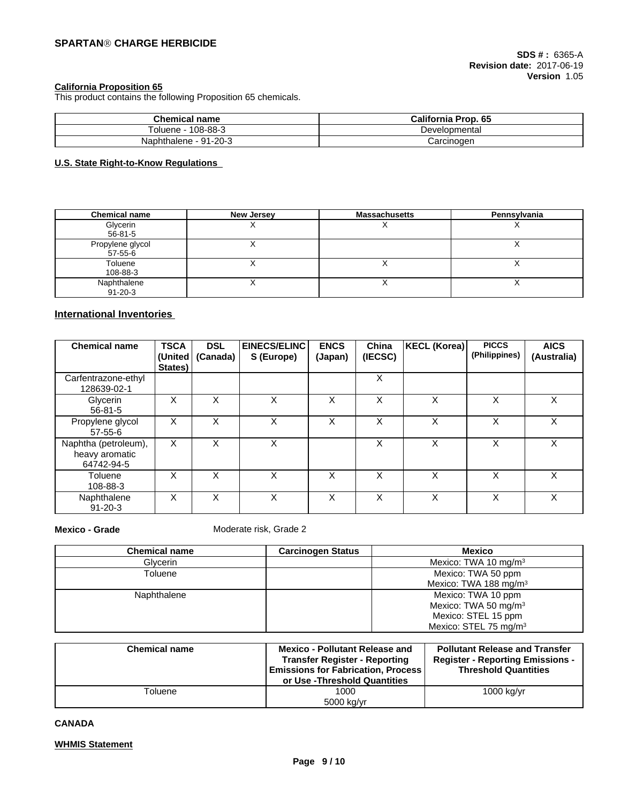#### **California Proposition 65**

This product contains the following Proposition 65 chemicals.

| <b>Chemical name</b>  | California Prop. 65 |
|-----------------------|---------------------|
| 108-88-3<br>oluene    | Developmental       |
| Naphthalene - 91-20-3 | Carcinoɑen          |

#### **U.S. State Right-to-Know Regulations**

| <b>Chemical name</b>         | <b>New Jersey</b> | <b>Massachusetts</b> | Pennsylvania |
|------------------------------|-------------------|----------------------|--------------|
| Glycerin<br>56-81-5          |                   |                      |              |
| Propylene glycol<br>57-55-6  |                   |                      |              |
| Toluene<br>108-88-3          |                   |                      |              |
| Naphthalene<br>$91 - 20 - 3$ |                   |                      |              |

### **International Inventories**

| <b>Chemical name</b>                                 | <b>TSCA</b><br>(United<br>States) | <b>DSL</b><br>(Canada) | EINECS/ELINC<br>S (Europe) | <b>ENCS</b><br>(Japan) | China<br>(IECSC) | KECL (Korea) | <b>PICCS</b><br>(Philippines) | <b>AICS</b><br>(Australia) |
|------------------------------------------------------|-----------------------------------|------------------------|----------------------------|------------------------|------------------|--------------|-------------------------------|----------------------------|
| Carfentrazone-ethyl<br>128639-02-1                   |                                   |                        |                            |                        | X                |              |                               |                            |
| Glycerin<br>$56 - 81 - 5$                            | Χ                                 | X                      | Χ                          | $\check{ }$<br>⋏       | X                | X            | X                             | X                          |
| Propylene glycol<br>57-55-6                          | X                                 | X                      | x                          | X                      | X                | X            | X                             | X                          |
| Naphtha (petroleum),<br>heavy aromatic<br>64742-94-5 | X                                 | X                      | X                          |                        | X                | X            | X                             | X                          |
| Toluene<br>108-88-3                                  | X                                 | X                      | X                          | X                      | X                | X            | X                             | X                          |
| Naphthalene<br>$91 - 20 - 3$                         | Х                                 | X                      | Χ                          | X                      | X                | X            | X                             | X                          |

**Mexico - Grade** Moderate risk, Grade 2

| <b>Chemical name</b> | <b>Carcinogen Status</b> | <b>Mexico</b>                     |
|----------------------|--------------------------|-----------------------------------|
| Glvcerin             |                          | Mexico: TWA 10 mg/m $3$           |
| Toluene              |                          | Mexico: TWA 50 ppm                |
|                      |                          | Mexico: TWA 188 mg/m <sup>3</sup> |
| Naphthalene          |                          | Mexico: TWA 10 ppm                |
|                      |                          | Mexico: TWA 50 mg/m <sup>3</sup>  |
|                      |                          | Mexico: STEL 15 ppm               |
|                      |                          | Mexico: STEL 75 mg/m <sup>3</sup> |

| <b>Chemical name</b> | <b>Mexico - Pollutant Release and</b><br><b>Transfer Register - Reporting</b><br><b>Emissions for Fabrication, Process</b><br>or Use -Threshold Quantities | <b>Pollutant Release and Transfer</b><br><b>Register - Reporting Emissions -</b><br><b>Threshold Quantities</b> |
|----------------------|------------------------------------------------------------------------------------------------------------------------------------------------------------|-----------------------------------------------------------------------------------------------------------------|
| Toluene              | 1000                                                                                                                                                       | $1000$ kg/yr                                                                                                    |
|                      | 5000 kg/yr                                                                                                                                                 |                                                                                                                 |

#### **CANADA**

#### **WHMIS Statement**